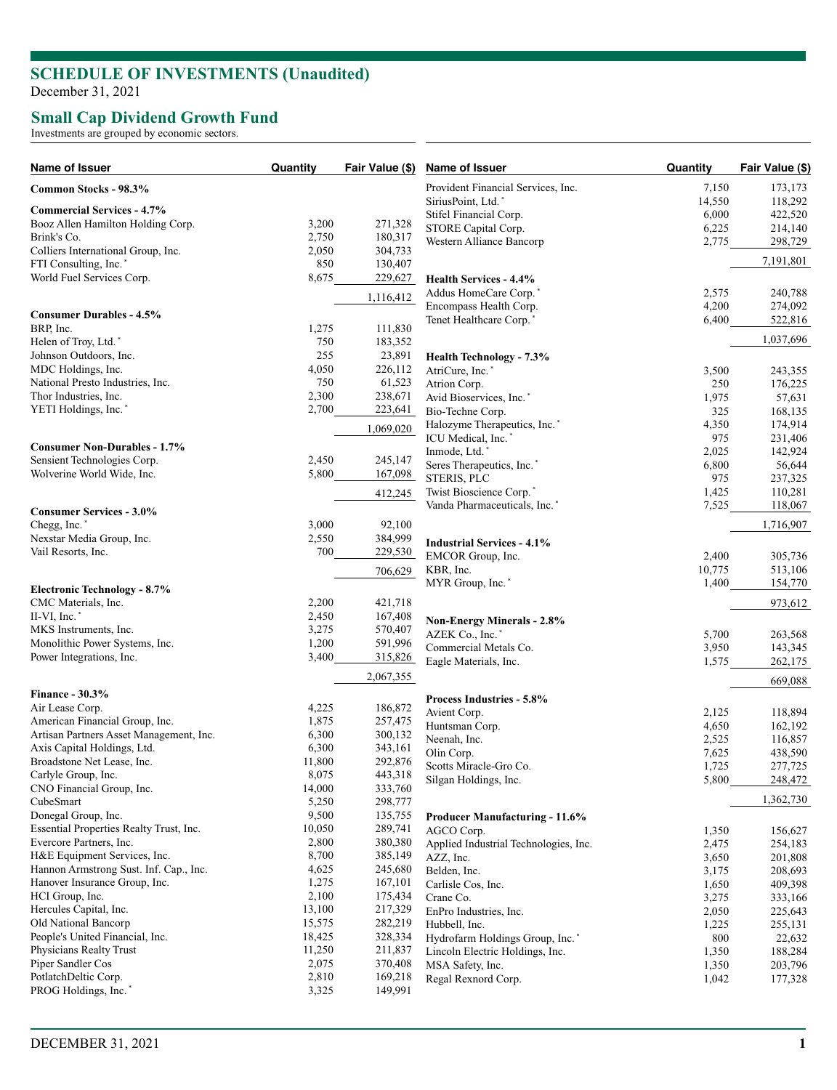# **SCHEDULE OF INVESTMENTS (Unaudited )**

December 31, 2021

### **Small Cap Dividend Growth Fund**

Investments are grouped by economic sectors.

| Name of Issuer                                              | Quantity        | Fair Value (\$)    | Name of Issuer                                  | Quantity       | Fair Value (\$) |
|-------------------------------------------------------------|-----------------|--------------------|-------------------------------------------------|----------------|-----------------|
| Common Stocks - 98.3%                                       |                 |                    | Provident Financial Services, Inc.              | 7,150          | 173,173         |
|                                                             |                 |                    | SiriusPoint, Ltd.*                              | 14,550         | 118,292         |
| <b>Commercial Services - 4.7%</b>                           |                 |                    | Stifel Financial Corp.                          | 6,000          | 422,520         |
| Booz Allen Hamilton Holding Corp.                           | 3,200           | 271,328            | STORE Capital Corp.                             | 6,225          | 214,140         |
| Brink's Co.                                                 | 2,750<br>2,050  | 180,317<br>304,733 | Western Alliance Bancorp                        | 2,775          | 298,729         |
| Colliers International Group, Inc.<br>FTI Consulting, Inc.* | 850             | 130,407            |                                                 |                | 7,191,801       |
| World Fuel Services Corp.                                   | 8,675           |                    |                                                 |                |                 |
|                                                             |                 | 229,627            | <b>Health Services - 4.4%</b>                   |                |                 |
|                                                             |                 | 1,116,412          | Addus HomeCare Corp.*<br>Encompass Health Corp. | 2,575<br>4,200 | 240,788         |
| <b>Consumer Durables - 4.5%</b>                             |                 |                    |                                                 |                | 274,092         |
| BRP, Inc.                                                   | 1,275           | 111,830            | Tenet Healthcare Corp.'                         | 6,400          | 522,816         |
| Helen of Troy, Ltd.*                                        | 750             | 183,352            |                                                 |                | 1,037,696       |
| Johnson Outdoors, Inc.                                      | 255             | 23,891             | <b>Health Technology - 7.3%</b>                 |                |                 |
| MDC Holdings, Inc.                                          | 4,050           | 226,112            | AtriCure, Inc.*                                 | 3,500          | 243,355         |
| National Presto Industries, Inc.                            | 750             | 61,523             | Atrion Corp.                                    | 250            | 176,225         |
| Thor Industries, Inc.                                       | 2,300           | 238,671            | Avid Bioservices, Inc.*                         | 1,975          | 57,631          |
| YETI Holdings, Inc.*                                        | 2,700           | 223,641            | Bio-Techne Corp.                                | 325            | 168,135         |
|                                                             |                 | 1,069,020          | Halozyme Therapeutics, Inc.*                    | 4,350          | 174,914         |
|                                                             |                 |                    | ICU Medical, Inc.*                              | 975            | 231,406         |
| <b>Consumer Non-Durables - 1.7%</b>                         |                 |                    | Inmode, Ltd.*                                   | 2,025          | 142,924         |
| Sensient Technologies Corp.                                 | 2,450           | 245,147            | Seres Therapeutics, Inc.*                       | 6,800          | 56,644          |
| Wolverine World Wide, Inc.                                  | 5,800           | 167,098            | STERIS, PLC                                     | 975            | 237,325         |
|                                                             |                 | 412,245            | Twist Bioscience Corp.*                         | 1,425          | 110,281         |
| <b>Consumer Services - 3.0%</b>                             |                 |                    | Vanda Pharmaceuticals, Inc. <sup>*</sup>        | 7,525          | 118,067         |
| Chegg, Inc.*                                                | 3,000           | 92,100             |                                                 |                | 1,716,907       |
| Nexstar Media Group, Inc.                                   | 2,550           | 384,999            |                                                 |                |                 |
| Vail Resorts, Inc.                                          | 700             | 229,530            | <b>Industrial Services - 4.1%</b>               |                |                 |
|                                                             |                 |                    | EMCOR Group, Inc.                               | 2,400          | 305,736         |
|                                                             |                 | 706,629            | KBR, Inc.                                       | 10,775         | 513,106         |
| <b>Electronic Technology - 8.7%</b>                         |                 |                    | MYR Group, Inc.*                                | 1,400          | 154,770         |
| CMC Materials, Inc.                                         | 2,200           | 421,718            |                                                 |                | 973,612         |
| II-VI, Inc.*                                                | 2,450           | 167,408            | Non-Energy Minerals - 2.8%                      |                |                 |
| MKS Instruments, Inc.                                       | 3,275           | 570,407            | AZEK Co., Inc.*                                 | 5,700          | 263,568         |
| Monolithic Power Systems, Inc.                              | 1,200           | 591,996            | Commercial Metals Co.                           | 3,950          | 143,345         |
| Power Integrations, Inc.                                    | 3,400           | 315,826            | Eagle Materials, Inc.                           | 1,575          | 262,175         |
|                                                             |                 | 2,067,355          |                                                 |                | 669,088         |
| <b>Finance - 30.3%</b>                                      |                 |                    | Process Industries - 5.8%                       |                |                 |
| Air Lease Corp.                                             | 4,225           | 186,872            | Avient Corp.                                    | 2,125          | 118,894         |
| American Financial Group, Inc.                              | 1,875           | 257,475            | Huntsman Corp.                                  | 4,650          | 162,192         |
| Artisan Partners Asset Management, Inc.                     | 6,300           | 300,132            | Neenah, Inc.                                    | 2,525          | 116,857         |
| Axis Capital Holdings, Ltd.                                 | 6,300           | 343,161            | Olin Corp.                                      | 7,625          | 438,590         |
| Broadstone Net Lease, Inc.                                  | 11,800          | 292,876            | Scotts Miracle-Gro Co.                          | 1,725          | 277,725         |
| Carlyle Group, Inc.                                         | 8,075           | 443,318            | Silgan Holdings, Inc.                           | 5,800          | 248,472         |
| CNO Financial Group, Inc.                                   | 14,000          | 333,760            |                                                 |                |                 |
| CubeSmart                                                   | 5,250           | 298,777            |                                                 |                | 1,362,730       |
| Donegal Group, Inc.                                         | 9,500           | 135,755            | <b>Producer Manufacturing - 11.6%</b>           |                |                 |
| Essential Properties Realty Trust, Inc.                     | 10,050          | 289,741            | AGCO Corp.                                      | 1,350          | 156,627         |
| Evercore Partners, Inc.                                     | 2,800           | 380,380            | Applied Industrial Technologies, Inc.           | 2,475          | 254,183         |
| H&E Equipment Services, Inc.                                | 8,700           | 385,149            | AZZ, Inc.                                       | 3,650          | 201,808         |
| Hannon Armstrong Sust. Inf. Cap., Inc.                      | 4,625           | 245,680            | Belden, Inc.                                    | 3,175          | 208,693         |
| Hanover Insurance Group, Inc.                               | 1,275           | 167,101            | Carlisle Cos, Inc.                              | 1,650          | 409,398         |
| HCI Group, Inc.                                             | 2,100           | 175,434            | Crane Co.                                       | 3,275          | 333,166         |
| Hercules Capital, Inc.                                      | 13,100          | 217,329            | EnPro Industries, Inc.                          | 2,050          | 225,643         |
| Old National Bancorp                                        | 15,575          | 282,219            | Hubbell, Inc.                                   | 1,225          | 255,131         |
| People's United Financial, Inc.<br>Physicians Realty Trust  | 18,425          | 328,334            | Hydrofarm Holdings Group, Inc.*                 | 800            | 22,632          |
| Piper Sandler Cos                                           | 11,250<br>2,075 | 211,837            | Lincoln Electric Holdings, Inc.                 | 1,350          | 188,284         |
| PotlatchDeltic Corp.                                        | 2,810           | 370,408<br>169,218 | MSA Safety, Inc.                                | 1,350          | 203,796         |
| PROG Holdings, Inc.*                                        | 3,325           | 149,991            | Regal Rexnord Corp.                             | 1,042          | 177,328         |
|                                                             |                 |                    |                                                 |                |                 |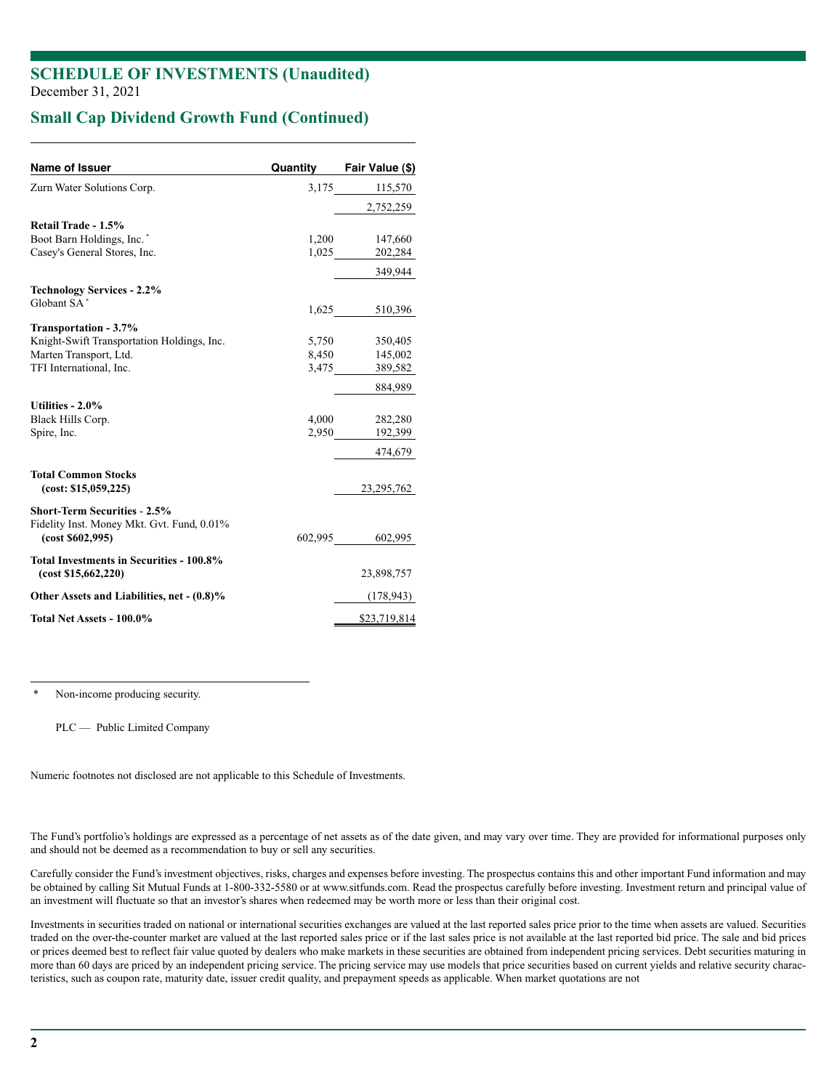### **SCHEDULE OF INVESTMENTS (Unaudited)** December 31, 2021

## **Small Cap Dividend Growth Fund (Continued)**

| Name of Issuer                                                                    | Quantity | Fair Value (\$) |
|-----------------------------------------------------------------------------------|----------|-----------------|
| Zurn Water Solutions Corp.                                                        |          | 3,175 115,570   |
|                                                                                   |          | 2,752,259       |
| Retail Trade - 1.5%                                                               |          |                 |
| Boot Barn Holdings, Inc.*                                                         | 1,200    | 147,660         |
| Casey's General Stores, Inc.                                                      | 1,025    | 202,284         |
|                                                                                   |          | 349,944         |
| <b>Technology Services - 2.2%</b>                                                 |          |                 |
| Globant SA*                                                                       | 1,625    | 510,396         |
| Transportation - 3.7%                                                             |          |                 |
| Knight-Swift Transportation Holdings, Inc.                                        | 5,750    | 350,405         |
| Marten Transport, Ltd.                                                            | 8,450    | 145,002         |
| TFI International, Inc.                                                           | 3,475    | 389,582         |
|                                                                                   |          | 884,989         |
| Utilities - $2.0\%$                                                               |          |                 |
| Black Hills Corp.                                                                 | 4.000    | 282,280         |
| Spire, Inc.                                                                       | 2,950    | 192,399         |
|                                                                                   |          | 474,679         |
| <b>Total Common Stocks</b>                                                        |          |                 |
| (cost: \$15,059,225)                                                              |          | 23, 295, 762    |
| <b>Short-Term Securities - 2.5%</b><br>Fidelity Inst. Money Mkt. Gvt. Fund, 0.01% |          |                 |
| (cost \$602,995)                                                                  | 602,995  | 602,995         |
| Total Investments in Securities - 100.8%                                          |          |                 |
| (cost \$15,662,220)                                                               |          | 23,898,757      |
| Other Assets and Liabilities, net - (0.8)%                                        |          | (178, 943)      |
| Total Net Assets - 100.0%                                                         |          | \$23,719,814    |

Non-income producing security.

PLC — Public Limited Company

Numeric footnotes not disclosed are not applicable to this Schedule of Investments.

The Fund's portfolio's holdings are expressed as a percentage of net assets as of the date given, and may vary over time. They are provided for informational purposes only and should not be deemed as a recommendation to buy or sell any securities.

Carefully consider the Fund's investment objectives, risks, charges and expenses before investing. The prospectus contains this and other important Fund information and may be obtained by calling Sit Mutual Funds at 1-800-332-5580 or at www.sitfunds.com. Read the prospectus carefully before investing. Investment return and principal value of an investment will fluctuate so that an investor's shares when redeemed may be worth more or less than their original cost.

Investments in securities traded on national or international securities exchanges are valued at the last reported sales price prior to the time when assets are valued. Securities traded on the over-the-counter market are valued at the last reported sales price or if the last sales price is not available at the last reported bid price. The sale and bid prices or prices deemed best to reflect fair value quoted by dealers who make markets in these securities are obtained from independent pricing services. Debt securities maturing in more than 60 days are priced by an independent pricing service. The pricing service may use models that price securities based on current yields and relative security characteristics, such as coupon rate, maturity date, issuer credit quality, and prepayment speeds as applicable. When market quotations are not